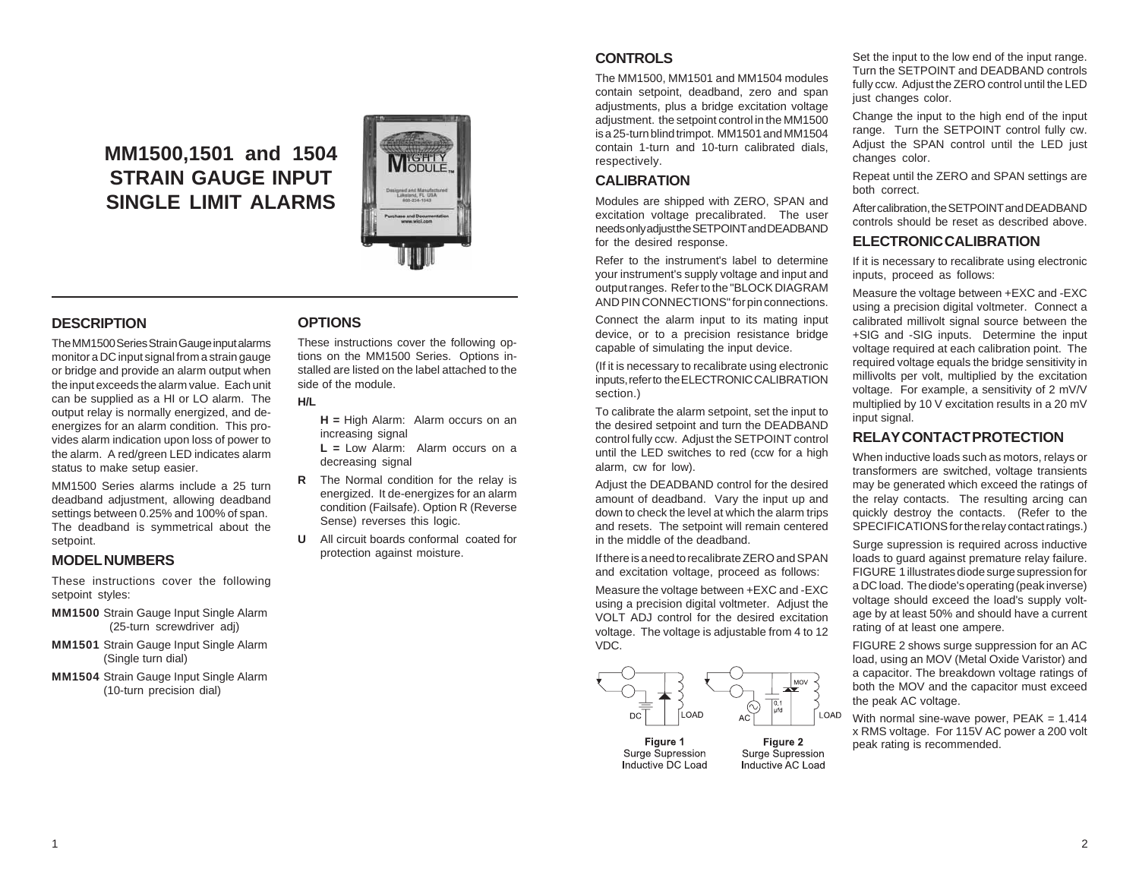# **MM1500,1501 and 1504 STRAIN GAUGE INPUT SINGLE LIMIT ALARMS**



## **DESCRIPTION**

The MM1500 Series Strain Gauge input alarms monitor a DC input signal from a strain gauge or bridge and provide an alarm output when the input exceeds the alarm value. Each unit can be supplied as a HI or LO alarm. The output relay is normally energized, and deenergizes for an alarm condition. This provides alarm indication upon loss of power to the alarm. A red/green LED indicates alarm status to make setup easier.

MM1500 Series alarms include a 25 turn deadband adjustment, allowing deadband settings between 0.25% and 100% of span. The deadband is symmetrical about the setpoint.

#### **MODEL NUMBERS**

These instructions cover the following setpoint styles:

- **MM1500** Strain Gauge Input Single Alarm (25-turn screwdriver adj)
- **MM1501** Strain Gauge Input Single Alarm (Single turn dial)
- **MM1504** Strain Gauge Input Single Alarm (10-turn precision dial)

#### **OPTIONS**

These instructions cover the following options on the MM1500 Series. Options installed are listed on the label attached to the side of the module.

#### **H/L**

**H =** High Alarm: Alarm occurs on an increasing signal

- **L =** Low Alarm: Alarm occurs on a decreasing signal
- **R** The Normal condition for the relay is energized. It de-energizes for an alarm condition (Failsafe). Option R (Reverse Sense) reverses this logic.
- **U** All circuit boards conformal coated for protection against moisture.

# **CONTROLS**

The MM1500, MM1501 and MM1504 modules contain setpoint, deadband, zero and span adjustments, plus a bridge excitation voltage adjustment. the setpoint control in the MM1500 is a 25-turn blind trimpot. MM1501 and MM1504 contain 1-turn and 10-turn calibrated dials, respectively.

# **CALIBRATION**

Modules are shipped with ZERO, SPAN and excitation voltage precalibrated. The user needs only adjust the SETPOINT and DEADBAND for the desired response.

Refer to the instrument's label to determine your instrument's supply voltage and input and output ranges. Refer to the "BLOCK DIAGRAM AND PIN CONNECTIONS" for pin connections.

Connect the alarm input to its mating input device, or to a precision resistance bridge capable of simulating the input device.

(If it is necessary to recalibrate using electronic inputs, refer to the ELECTRONIC CALIBRATION section.)

To calibrate the alarm setpoint, set the input to the desired setpoint and turn the DEADBAND control fully ccw. Adjust the SETPOINT control until the LED switches to red (ccw for a high alarm, cw for low).

Adjust the DEADBAND control for the desired amount of deadband. Vary the input up and down to check the level at which the alarm trips and resets. The setpoint will remain centered in the middle of the deadband.

If there is a need to recalibrate ZERO and SPAN and excitation voltage, proceed as follows:

Measure the voltage between +EXC and -EXC using a precision digital voltmeter. Adjust the VOLT ADJ control for the desired excitation voltage. The voltage is adjustable from 4 to 12 VDC.



Surge Supression

Inductive AC Load

Figure 1 Surge Supression Inductive DC Load Set the input to the low end of the input range. Turn the SETPOINT and DEADBAND controls fully ccw. Adjust the ZERO control until the LED just changes color.

Change the input to the high end of the input range. Turn the SETPOINT control fully cw. Adjust the SPAN control until the LED just changes color.

Repeat until the ZERO and SPAN settings are both correct.

After calibration, the SETPOINT and DEADBAND controls should be reset as described above.

#### **ELECTRONIC CALIBRATION**

If it is necessary to recalibrate using electronic inputs, proceed as follows:

Measure the voltage between +EXC and -EXC using a precision digital voltmeter. Connect a calibrated millivolt signal source between the +SIG and -SIG inputs. Determine the input voltage required at each calibration point. The required voltage equals the bridge sensitivity in millivolts per volt, multiplied by the excitation voltage. For example, a sensitivity of 2 mV/V multiplied by 10 V excitation results in a 20 mV input signal.

## **RELAY CONTACT PROTECTION**

When inductive loads such as motors, relays or transformers are switched, voltage transients may be generated which exceed the ratings of the relay contacts. The resulting arcing can quickly destroy the contacts. (Refer to the SPECIFICATIONS for the relay contact ratings.)

Surge supression is required across inductive loads to guard against premature relay failure. FIGURE 1 illustrates diode surge supression for a DC load. The diode's operating (peak inverse) voltage should exceed the load's supply voltage by at least 50% and should have a current rating of at least one ampere.

FIGURE 2 shows surge suppression for an AC load, using an MOV (Metal Oxide Varistor) and a capacitor. The breakdown voltage ratings of both the MOV and the capacitor must exceed the peak AC voltage.

With normal sine-wave power, PEAK = 1.414 x RMS voltage. For 115V AC power a 200 volt peak rating is recommended.